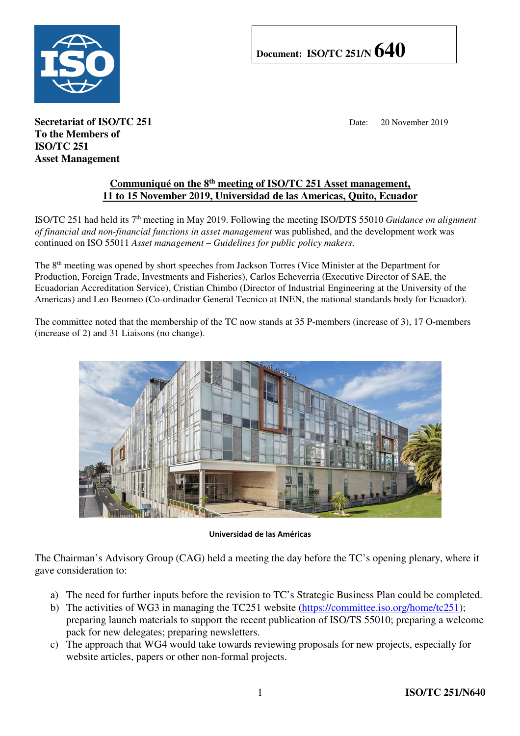

## **Document: ISO/TC 251/N 640**

**Secretariat of ISO/TC 251** Date: 20 November 2019 **To the Members of ISO/TC 251 Asset Management** 

## **Communiqué on the 8th meeting of ISO/TC 251 Asset management, 11 to 15 November 2019, Universidad de las Americas, Quito, Ecuador**

ISO/TC 251 had held its 7th meeting in May 2019. Following the meeting ISO/DTS 55010 *Guidance on alignment of financial and non-financial functions in asset management* was published, and the development work was continued on ISO 55011 *Asset management* – *Guidelines for public policy makers*.

The 8th meeting was opened by short speeches from Jackson Torres (Vice Minister at the Department for Production, Foreign Trade, Investments and Fisheries), Carlos Echeverria (Executive Director of SAE, the Ecuadorian Accreditation Service), Cristian Chimbo (Director of Industrial Engineering at the University of the Americas) and Leo Beomeo (Co-ordinador General Tecnico at INEN, the national standards body for Ecuador).

The committee noted that the membership of the TC now stands at 35 P-members (increase of 3), 17 O-members (increase of 2) and 31 Liaisons (no change).



Universidad de las Américas

The Chairman's Advisory Group (CAG) held a meeting the day before the TC's opening plenary, where it gave consideration to:

- a) The need for further inputs before the revision to TC's Strategic Business Plan could be completed.
- b) The activities of WG3 in managing the TC251 website (https://committee.iso.org/home/tc251); preparing launch materials to support the recent publication of ISO/TS 55010; preparing a welcome pack for new delegates; preparing newsletters.
- c) The approach that WG4 would take towards reviewing proposals for new projects, especially for website articles, papers or other non-formal projects.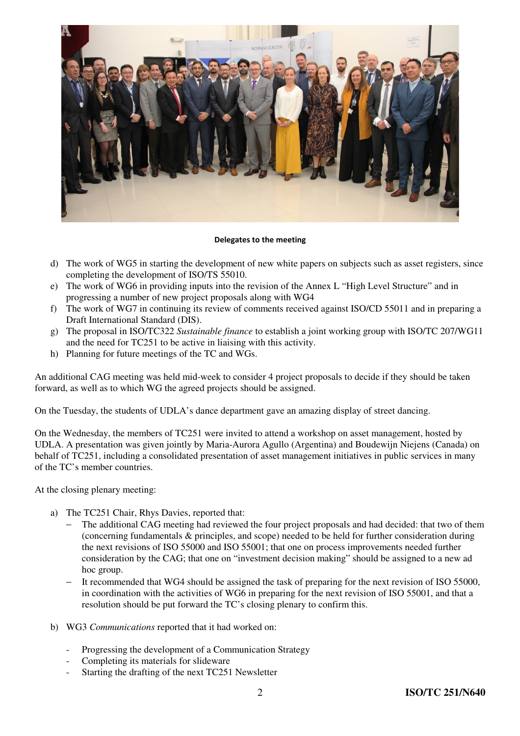

## Delegates to the meeting

- d) The work of WG5 in starting the development of new white papers on subjects such as asset registers, since completing the development of ISO/TS 55010.
- e) The work of WG6 in providing inputs into the revision of the Annex L "High Level Structure" and in progressing a number of new project proposals along with WG4
- f) The work of WG7 in continuing its review of comments received against ISO/CD 55011 and in preparing a Draft International Standard (DIS).
- g) The proposal in ISO/TC322 *Sustainable finance* to establish a joint working group with ISO/TC 207/WG11 and the need for TC251 to be active in liaising with this activity.
- h) Planning for future meetings of the TC and WGs.

An additional CAG meeting was held mid-week to consider 4 project proposals to decide if they should be taken forward, as well as to which WG the agreed projects should be assigned.

On the Tuesday, the students of UDLA's dance department gave an amazing display of street dancing.

On the Wednesday, the members of TC251 were invited to attend a workshop on asset management, hosted by UDLA. A presentation was given jointly by Maria-Aurora Agullo (Argentina) and Boudewijn Niejens (Canada) on behalf of TC251, including a consolidated presentation of asset management initiatives in public services in many of the TC's member countries.

At the closing plenary meeting:

- a) The TC251 Chair, Rhys Davies, reported that:
	- The additional CAG meeting had reviewed the four project proposals and had decided: that two of them (concerning fundamentals & principles, and scope) needed to be held for further consideration during the next revisions of ISO 55000 and ISO 55001; that one on process improvements needed further consideration by the CAG; that one on "investment decision making" should be assigned to a new ad hoc group.
	- − It recommended that WG4 should be assigned the task of preparing for the next revision of ISO 55000, in coordination with the activities of WG6 in preparing for the next revision of ISO 55001, and that a resolution should be put forward the TC's closing plenary to confirm this.
- b) WG3 *Communications* reported that it had worked on:
	- Progressing the development of a Communication Strategy
	- Completing its materials for slideware
	- Starting the drafting of the next TC251 Newsletter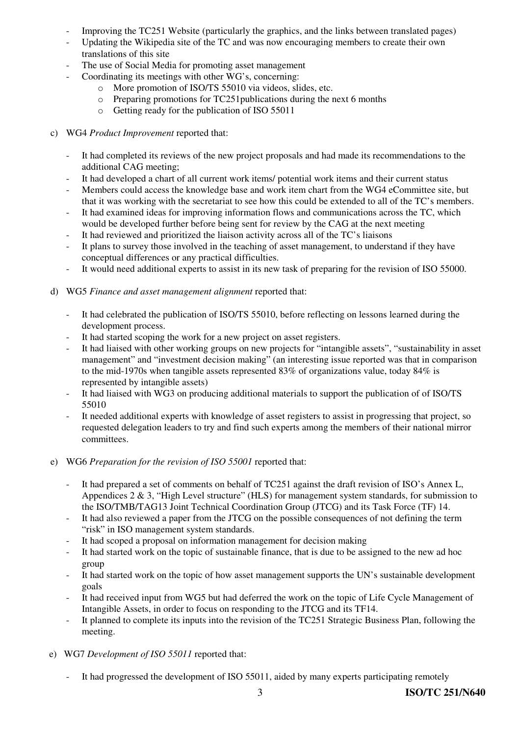- Improving the TC251 Website (particularly the graphics, and the links between translated pages)
- Updating the Wikipedia site of the TC and was now encouraging members to create their own translations of this site
- The use of Social Media for promoting asset management
- Coordinating its meetings with other WG's, concerning:
	- o More promotion of ISO/TS 55010 via videos, slides, etc.
	- o Preparing promotions for TC251publications during the next 6 months
	- o Getting ready for the publication of ISO 55011
- c) WG4 *Product Improvement* reported that:
	- It had completed its reviews of the new project proposals and had made its recommendations to the additional CAG meeting;
	- It had developed a chart of all current work items/ potential work items and their current status
	- Members could access the knowledge base and work item chart from the WG4 eCommittee site, but that it was working with the secretariat to see how this could be extended to all of the TC's members.
	- It had examined ideas for improving information flows and communications across the TC, which would be developed further before being sent for review by the CAG at the next meeting
	- It had reviewed and prioritized the liaison activity across all of the TC's liaisons
	- It plans to survey those involved in the teaching of asset management, to understand if they have conceptual differences or any practical difficulties.
	- It would need additional experts to assist in its new task of preparing for the revision of ISO 55000.
- d) WG5 *Finance and asset management alignment* reported that:
	- It had celebrated the publication of ISO/TS 55010, before reflecting on lessons learned during the development process.
	- It had started scoping the work for a new project on asset registers.
	- It had liaised with other working groups on new projects for "intangible assets", "sustainability in asset management" and "investment decision making" (an interesting issue reported was that in comparison to the mid-1970s when tangible assets represented 83% of organizations value, today 84% is represented by intangible assets)
	- It had liaised with WG3 on producing additional materials to support the publication of of ISO/TS 55010
	- It needed additional experts with knowledge of asset registers to assist in progressing that project, so requested delegation leaders to try and find such experts among the members of their national mirror committees.
- e) WG6 *Preparation for the revision of ISO 55001* reported that:
	- It had prepared a set of comments on behalf of TC251 against the draft revision of ISO's Annex L, Appendices 2 & 3, "High Level structure" (HLS) for management system standards, for submission to the ISO/TMB/TAG13 Joint Technical Coordination Group (JTCG) and its Task Force (TF) 14.
	- It had also reviewed a paper from the JTCG on the possible consequences of not defining the term "risk" in ISO management system standards.
	- It had scoped a proposal on information management for decision making
	- It had started work on the topic of sustainable finance, that is due to be assigned to the new ad hoc group
	- It had started work on the topic of how asset management supports the UN's sustainable development goals
	- It had received input from WG5 but had deferred the work on the topic of Life Cycle Management of Intangible Assets, in order to focus on responding to the JTCG and its TF14.
	- It planned to complete its inputs into the revision of the TC251 Strategic Business Plan, following the meeting.
- e) WG7 *Development of ISO 55011* reported that:
	- It had progressed the development of ISO 55011, aided by many experts participating remotely